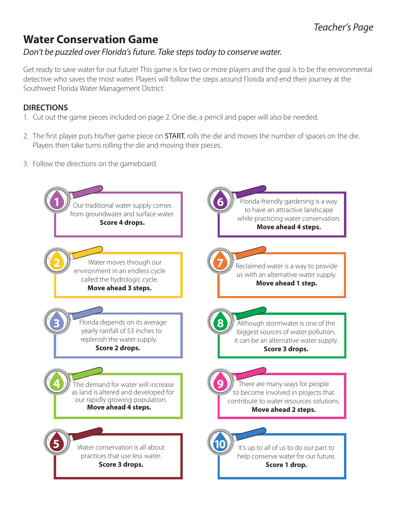## **Water Conservation Game**

### *Don't be puzzled over Florida's future. Take steps today to conserve water.*

Get ready to save water for our future! This game is for two or more players and the goal is to be the environmental detective who saves the most water. Players will follow the steps around Florida and end their journey at the Southwest Florida Water Management District.

#### **DIRECTIONS**

- 1. Cut out the game pieces included on page 2. One die, a pencil and paper will also be needed.
- 2. The first player puts his/her game piece on **START**, rolls the die and moves the number of spaces on the die. Players then take turns rolling the die and moving their pieces.
- 3. Follow the directions on the gameboard.

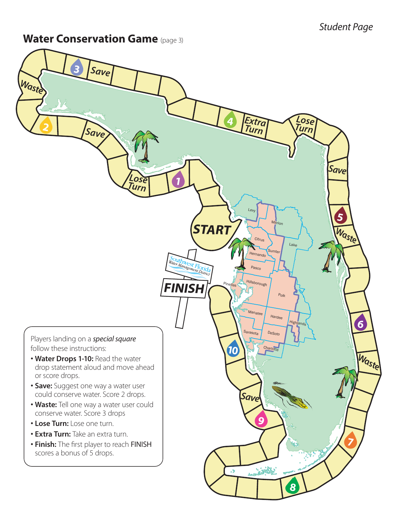### **Water Conservation Game** (page 3)